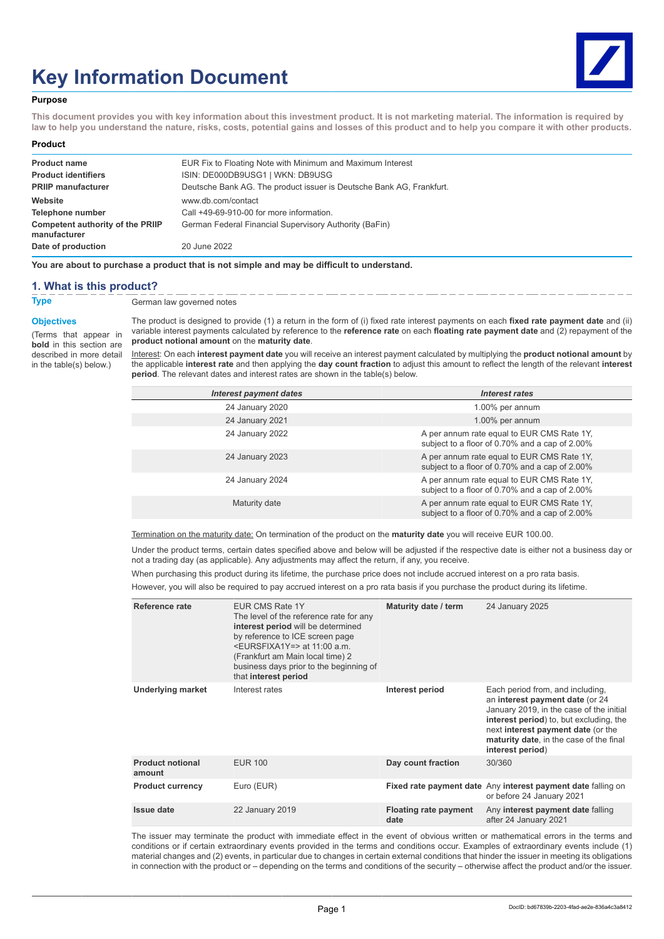# **Key Information Document**



#### **Purpose**

**This document provides you with key information about this investment product. It is not marketing material. The information is required by law to help you understand the nature, risks, costs, potential gains and losses of this product and to help you compare it with other products.**

#### **Product**

| EUR Fix to Floating Note with Minimum and Maximum Interest           |
|----------------------------------------------------------------------|
| ISIN: DE000DB9USG1   WKN: DB9USG                                     |
| Deutsche Bank AG. The product issuer is Deutsche Bank AG, Frankfurt. |
| www.db.com/contact                                                   |
| Call +49-69-910-00 for more information.                             |
| German Federal Financial Supervisory Authority (BaFin)               |
| 20 June 2022                                                         |
|                                                                      |

**You are about to purchase a product that is not simple and may be difficult to understand.**

#### **1. What is this product?**

**Type** German law governed notes

#### **Objectives**

(Terms that appear in **bold** in this section are described in more detail in the table(s) below.)

The product is designed to provide (1) a return in the form of (i) fixed rate interest payments on each **fixed rate payment date** and (ii) variable interest payments calculated by reference to the **reference rate** on each **floating rate payment date** and (2) repayment of the **product notional amount** on the **maturity date**.

Interest: On each **interest payment date** you will receive an interest payment calculated by multiplying the **product notional amount** by the applicable **interest rate** and then applying the **day count fraction** to adjust this amount to reflect the length of the relevant **interest period**. The relevant dates and interest rates are shown in the table(s) below.

| <b>Interest payment dates</b> | <b>Interest rates</b>                                                                        |
|-------------------------------|----------------------------------------------------------------------------------------------|
| 24 January 2020               | 1.00% per annum                                                                              |
| 24 January 2021               | 1.00% per annum                                                                              |
| 24 January 2022               | A per annum rate equal to EUR CMS Rate 1Y,<br>subject to a floor of 0.70% and a cap of 2.00% |
| 24 January 2023               | A per annum rate equal to EUR CMS Rate 1Y,<br>subject to a floor of 0.70% and a cap of 2.00% |
| 24 January 2024               | A per annum rate equal to EUR CMS Rate 1Y,<br>subject to a floor of 0.70% and a cap of 2.00% |
| Maturity date                 | A per annum rate equal to EUR CMS Rate 1Y,<br>subject to a floor of 0.70% and a cap of 2.00% |

Termination on the maturity date: On termination of the product on the **maturity date** you will receive EUR 100.00.

Under the product terms, certain dates specified above and below will be adjusted if the respective date is either not a business day or not a trading day (as applicable). Any adjustments may affect the return, if any, you receive.

When purchasing this product during its lifetime, the purchase price does not include accrued interest on a pro rata basis.

However, you will also be required to pay accrued interest on a pro rata basis if you purchase the product during its lifetime.

| Reference rate                    | EUR CMS Rate 1Y<br>The level of the reference rate for any<br>interest period will be determined<br>by reference to ICE screen page<br><eursfixa1y=> at 11:00 a.m.<br/>(Frankfurt am Main local time) 2<br/>business days prior to the beginning of<br/>that interest period</eursfixa1y=> | Maturity date / term                 | 24 January 2025                                                                                                                                                                                                                                                 |
|-----------------------------------|--------------------------------------------------------------------------------------------------------------------------------------------------------------------------------------------------------------------------------------------------------------------------------------------|--------------------------------------|-----------------------------------------------------------------------------------------------------------------------------------------------------------------------------------------------------------------------------------------------------------------|
| <b>Underlying market</b>          | Interest rates                                                                                                                                                                                                                                                                             | Interest period                      | Each period from, and including,<br>an interest payment date (or 24<br>January 2019, in the case of the initial<br>interest period) to, but excluding, the<br>next interest payment date (or the<br>maturity date, in the case of the final<br>interest period) |
| <b>Product notional</b><br>amount | <b>EUR 100</b>                                                                                                                                                                                                                                                                             | Day count fraction                   | 30/360                                                                                                                                                                                                                                                          |
| <b>Product currency</b>           | Euro (EUR)                                                                                                                                                                                                                                                                                 |                                      | Fixed rate payment date Any interest payment date falling on<br>or before 24 January 2021                                                                                                                                                                       |
| Issue date                        | 22 January 2019                                                                                                                                                                                                                                                                            | <b>Floating rate payment</b><br>date | Any interest payment date falling<br>after 24 January 2021                                                                                                                                                                                                      |

The issuer may terminate the product with immediate effect in the event of obvious written or mathematical errors in the terms and conditions or if certain extraordinary events provided in the terms and conditions occur. Examples of extraordinary events include (1) material changes and (2) events, in particular due to changes in certain external conditions that hinder the issuer in meeting its obligations in connection with the product or – depending on the terms and conditions of the security – otherwise affect the product and/or the issuer.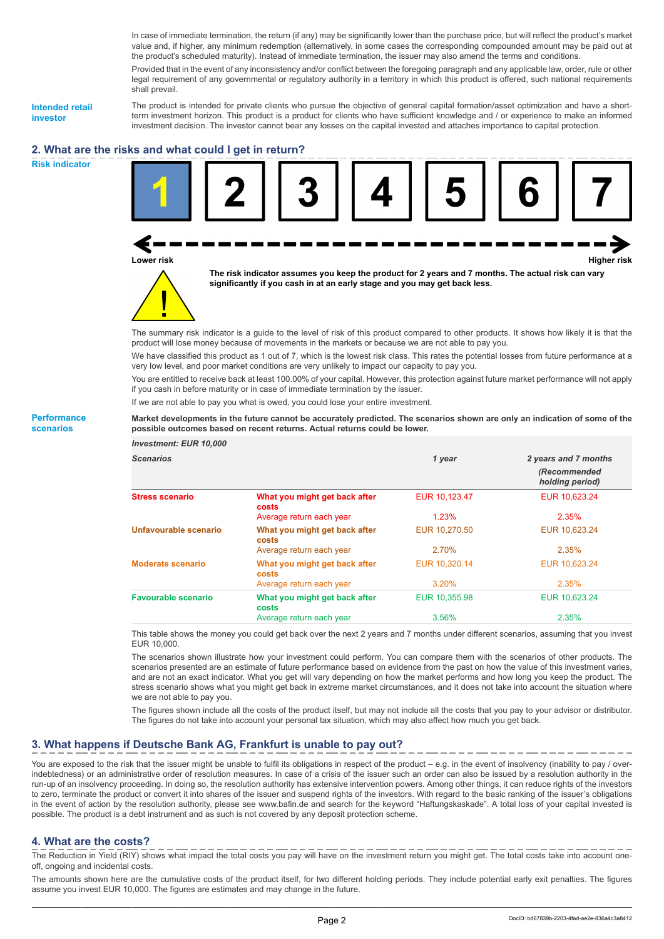In case of immediate termination, the return (if any) may be significantly lower than the purchase price, but will reflect the product's market value and, if higher, any minimum redemption (alternatively, in some cases the corresponding compounded amount may be paid out at the product's scheduled maturity). Instead of immediate termination, the issuer may also amend the terms and conditions.

Provided that in the event of any inconsistency and/or conflict between the foregoing paragraph and any applicable law, order, rule or other legal requirement of any governmental or regulatory authority in a territory in which this product is offered, such national requirements shall prevail.

**Intended retail investor**

The product is intended for private clients who pursue the objective of general capital formation/asset optimization and have a shortterm investment horizon. This product is a product for clients who have sufficient knowledge and / or experience to make an informed investment decision. The investor cannot bear any losses on the capital invested and attaches importance to capital protection.

## **2. What are the risks and what could I get in return?**

**Risk indicator**





**The risk indicator assumes you keep the product for 2 years and 7 months. The actual risk can vary significantly if you cash in at an early stage and you may get back less.**

The summary risk indicator is a guide to the level of risk of this product compared to other products. It shows how likely it is that the product will lose money because of movements in the markets or because we are not able to pay you.

We have classified this product as 1 out of 7, which is the lowest risk class. This rates the potential losses from future performance at a very low level, and poor market conditions are very unlikely to impact our capacity to pay you.

You are entitled to receive back at least 100.00% of your capital. However, this protection against future market performance will not apply if you cash in before maturity or in case of immediate termination by the issuer.

If we are not able to pay you what is owed, you could lose your entire investment.

**Market developments in the future cannot be accurately predicted. The scenarios shown are only an indication of some of the possible outcomes based on recent returns. Actual returns could be lower.**

| <b>Investment: EUR 10,000</b> |                                        |               |                                 |
|-------------------------------|----------------------------------------|---------------|---------------------------------|
| <b>Scenarios</b>              |                                        | 1 year        | 2 years and 7 months            |
|                               |                                        |               | (Recommended<br>holding period) |
| <b>Stress scenario</b>        | What you might get back after<br>costs | EUR 10,123.47 | EUR 10,623.24                   |
|                               | Average return each year               | 1.23%         | 2.35%                           |
| Unfavourable scenario         | What you might get back after<br>costs | EUR 10.270.50 | EUR 10.623.24                   |
|                               | Average return each year               | 2.70%         | 2.35%                           |
| <b>Moderate scenario</b>      | What you might get back after<br>costs | EUR 10,320.14 | EUR 10,623.24                   |
|                               | Average return each year               | 3.20%         | 2.35%                           |
| <b>Favourable scenario</b>    | What you might get back after<br>costs | EUR 10,355.98 | EUR 10,623.24                   |
|                               | Average return each year               | 3.56%         | 2.35%                           |

This table shows the money you could get back over the next 2 years and 7 months under different scenarios, assuming that you invest EUR 10,000.

The scenarios shown illustrate how your investment could perform. You can compare them with the scenarios of other products. The scenarios presented are an estimate of future performance based on evidence from the past on how the value of this investment varies, and are not an exact indicator. What you get will vary depending on how the market performs and how long you keep the product. The stress scenario shows what you might get back in extreme market circumstances, and it does not take into account the situation where we are not able to pay you.

The figures shown include all the costs of the product itself, but may not include all the costs that you pay to your advisor or distributor. The figures do not take into account your personal tax situation, which may also affect how much you get back.

## **3. What happens if Deutsche Bank AG, Frankfurt is unable to pay out?**

You are exposed to the risk that the issuer might be unable to fulfil its obligations in respect of the product – e.g. in the event of insolvency (inability to pay / overindebtedness) or an administrative order of resolution measures. In case of a crisis of the issuer such an order can also be issued by a resolution authority in the run-up of an insolvency proceeding. In doing so, the resolution authority has extensive intervention powers. Among other things, it can reduce rights of the investors to zero, terminate the product or convert it into shares of the issuer and suspend rights of the investors. With regard to the basic ranking of the issuer's obligations in the event of action by the resolution authority, please see www.bafin.de and search for the keyword "Haftungskaskade". A total loss of your capital invested is possible. The product is a debt instrument and as such is not covered by any deposit protection scheme.

## **4. What are the costs?**

The Reduction in Yield (RIY) shows what impact the total costs you pay will have on the investment return you might get. The total costs take into account oneoff, ongoing and incidental costs.

The amounts shown here are the cumulative costs of the product itself, for two different holding periods. They include potential early exit penalties. The figures assume you invest EUR 10,000. The figures are estimates and may change in the future.

**Performance scenarios**